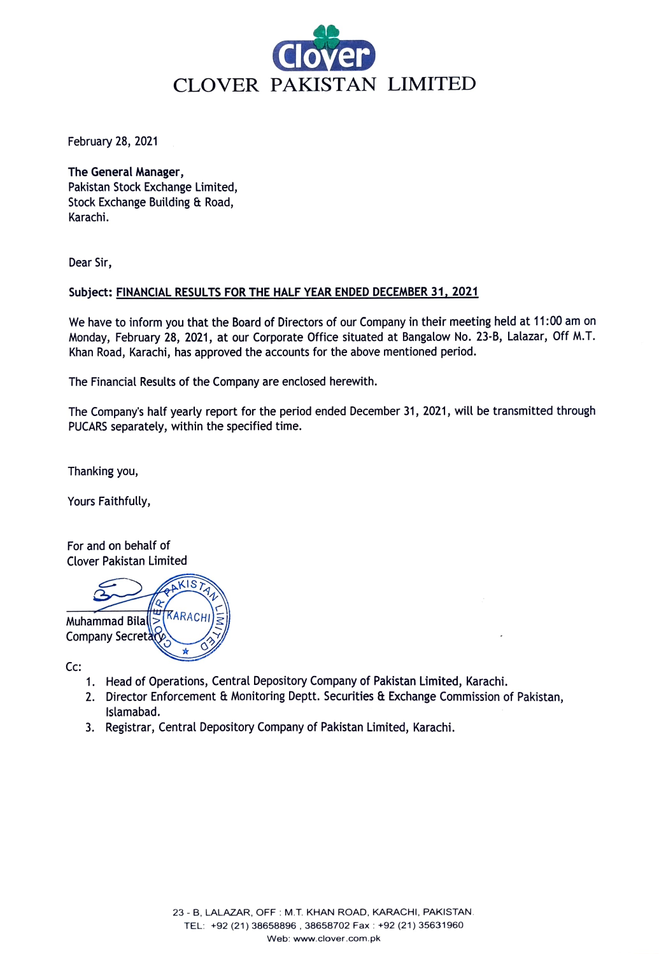

February 28, 2021

The General Manager, Pakistan Stock Exchange Limited, Stock Exchange Building & Road, Karachi.

Dear Sir,

## Subject: FINANCIAL RESULTS FOR THE HALF YEAR ENDED DECEMBER 31, 2021

We have to inform you that the Board of Directors of our Company in their meeting held at 11:00 am on Monday, February 28, 2021, at our Corporate Office situated at Bangalow No. 23-8, Lalazar, Off M.T. Khan Road, Karachi, has approved the accounts for the above mentioned period.

The Financial Results of the Company are enclosed herewith.

The Company's half yearly report for the period ended December 31, 2021, will be transmitted through PUCARS separately, within the specified time.

Thanking you,

Yours Faithfully,

For and on behalf of Clover Pakistan Limited



Cc:

- 1. Head of Operations, Central Depository Company of Pakistan Limited, Karachi.
- 2. Director Enforcement & Monitoring Deptt. Securities & Exchange Commission of Pakistan, Islamabad.
- 3. Registrar, Central Depository Company of Pakistan Limited, Karachi.